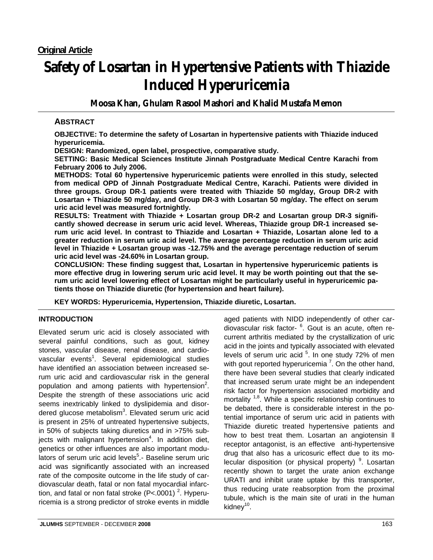# **Safety of Losartan in Hypertensive Patients with Thiazide Induced Hyperuricemia**

**Moosa Khan, Ghulam Rasool Mashori and Khalid Mustafa Memon** 

# **ABSTRACT**

**OBJECTIVE: To determine the safety of Losartan in hypertensive patients with Thiazide induced hyperuricemia.** 

**DESIGN: Randomized, open label, prospective, comparative study.** 

**SETTING: Basic Medical Sciences Institute Jinnah Postgraduate Medical Centre Karachi from February 2006 to July 2006.** 

**METHODS: Total 60 hypertensive hyperuricemic patients were enrolled in this study, selected from medical OPD of Jinnah Postgraduate Medical Centre, Karachi. Patients were divided in three groups. Group DR-1 patients were treated with Thiazide 50 mg/day, Group DR-2 with Losartan + Thiazide 50 mg/day, and Group DR-3 with Losartan 50 mg/day. The effect on serum uric acid level was measured fortnightly.** 

**RESULTS: Treatment with Thiazide + Losartan group DR-2 and Losartan group DR-3 significantly showed decrease in serum uric acid level. Whereas, Thiazide group DR-1 increased serum uric acid level. In contrast to Thiazide and Losartan + Thiazide, Losartan alone led to a greater reduction in serum uric acid level. The average percentage reduction in serum uric acid level in Thiazide + Losartan group was -12.75% and the average percentage reduction of serum uric acid level was -24.60% in Losartan group.** 

**CONCLUSION: These finding suggest that, Losartan in hypertensive hyperuricemic patients is more effective drug in lowering serum uric acid level. It may be worth pointing out that the serum uric acid level lowering effect of Losartan might be particularly useful in hyperuricemic patients those on Thiazide diuretic (for hypertension and heart failure).** 

**KEY WORDS: Hyperuricemia, Hypertension, Thiazide diuretic, Losartan.** 

# **INTRODUCTION**

Elevated serum uric acid is closely associated with several painful conditions, such as gout, kidney stones, vascular disease, renal disease, and cardiovascular events<sup>1</sup>. Several epidemiological studies have identified an association between increased serum uric acid and cardiovascular risk in the general population and among patients with hypertension<sup>2</sup>. Despite the strength of these associations uric acid seems inextricably linked to dyslipidemia and disordered glucose metabolism<sup>3</sup>. Elevated serum uric acid is present in 25% of untreated hypertensive subjects, in 50% of subjects taking diuretics and in >75% subjects with malignant hypertension<sup>4</sup>. In addition diet, genetics or other influences are also important modulators of serum uric acid levels<sup>5</sup>.- Baseline serum uric acid was significantly associated with an increased rate of the composite outcome in the life study of cardiovascular death, fatal or non fatal myocardial infarction, and fatal or non fatal stroke (P<.0001)<sup>2</sup>. Hyperuricemia is a strong predictor of stroke events in middle

diovascular risk factor- <sup>6</sup>. Gout is an acute, often recurrent arthritis mediated by the crystallization of uric acid in the joints and typically associated with elevated levels of serum uric acid <sup>5</sup>. In one study 72% of men with gout reported hyperuricemia<sup>7</sup>. On the other hand, there have been several studies that clearly indicated that increased serum urate might be an independent risk factor for hypertension associated morbidity and mortality  $1,8$ . While a specific relationship continues to be debated, there is considerable interest in the potential importance of serum uric acid in patients with Thiazide diuretic treated hypertensive patients and how to best treat them. Losartan an angiotensin ll receptor antagonist, is an effective anti-hypertensive drug that also has a uricosuric effect due to its molecular disposition (or physical property)<sup>9</sup>. Losartan recently shown to target the urate anion exchange URATI and inhibit urate uptake by this transporter, thus reducing urate reabsorption from the proximal tubule, which is the main site of urati in the human kidney $10$ .

aged patients with NIDD independently of other car-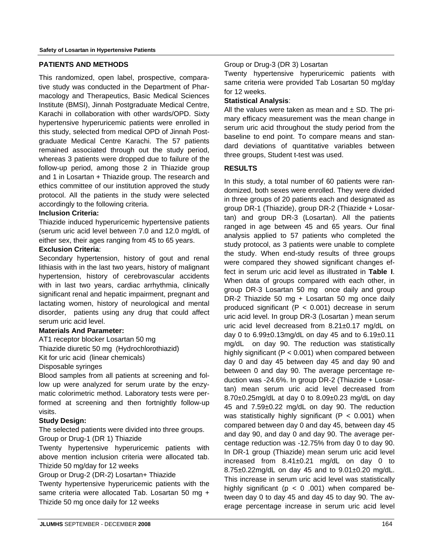## **PATIENTS AND METHODS**

This randomized, open label, prospective, comparative study was conducted in the Department of Pharmacology and Therapeutics, Basic Medical Sciences Institute (BMSI), Jinnah Postgraduate Medical Centre, Karachi in collaboration with other wards/OPD. Sixty hypertensive hyperuricemic patients were enrolled in this study, selected from medical OPD of Jinnah Postgraduate Medical Centre Karachi. The 57 patients remained associated through out the study period, whereas 3 patients were dropped due to failure of the follow-up period, among those 2 in Thiazide group and 1 in Losartan + Thiazide group. The research and ethics committee of our institution approved the study protocol. All the patients in the study were selected accordingly to the following criteria.

## **Inclusion Criteria:**

Thiazide induced hyperuricemic hypertensive patients (serum uric acid level between 7.0 and 12.0 mg/dL of either sex, their ages ranging from 45 to 65 years.

## **Exclusion Criteria**:

Secondary hypertension, history of gout and renal lithiasis with in the last two years, history of malignant hypertension, history of cerebrovascular accidents with in last two years, cardiac arrhythmia, clinically significant renal and hepatic impairment, pregnant and lactating women, history of neurological and mental disorder, patients using any drug that could affect serum uric acid level.

## **Materials And Parameter:**

AT1 receptor blocker Losartan 50 mg Thiazide diuretic 50 mg (Hydrochlorothiazid) Kit for uric acid (linear chemicals)

Disposable syringes

Blood samples from all patients at screening and follow up were analyzed for serum urate by the enzymatic colorimetric method. Laboratory tests were performed at screening and then fortnightly follow-up visits.

## **Study Design:**

The selected patients were divided into three groups. Group or Drug-1 (DR 1) Thiazide

Twenty hypertensive hyperuricemic patients with above mention inclusion criteria were allocated tab. Thizide 50 mg/day for 12 weeks

Group or Drug-2 (DR-2) Losartan+ Thiazide

Twenty hypertensive hyperuricemic patients with the same criteria were allocated Tab. Losartan 50 mg + Thizide 50 mg once daily for 12 weeks

## Group or Drug-3 (DR 3) Losartan

Twenty hypertensive hyperuricemic patients with same criteria were provided Tab Losartan 50 mg/day for 12 weeks.

## **Statistical Analysis**:

All the values were taken as mean and  $\pm$  SD. The primary efficacy measurement was the mean change in serum uric acid throughout the study period from the baseline to end point. To compare means and standard deviations of quantitative variables between three groups, Student t-test was used.

## **RESULTS**

In this study, a total number of 60 patients were randomized, both sexes were enrolled. They were divided in three groups of 20 patients each and designated as group DR-1 (Thiazide), group DR-2 (Thiazide + Losartan) and group DR-3 (Losartan). All the patients ranged in age between 45 and 65 years. Our final analysis applied to 57 patients who completed the study protocol, as 3 patients were unable to complete the study. When end-study results of three groups were compared they showed significant changes effect in serum uric acid level as illustrated in **Table I**. When data of groups compared with each other, in group DR-3 Losartan 50 mg once daily and group DR-2 Thiazide 50 mg + Losartan 50 mg once daily produced significant ( $P < 0.001$ ) decrease in serum uric acid level. In group DR-3 (Losartan ) mean serum uric acid level decreased from 8.21±0.17 mg/dL on day 0 to 6.99±0.13mg/dL on day 45 and to 6.19±0.11 mg/dL on day 90. The reduction was statistically highly significant (P < 0.001) when compared between day 0 and day 45 between day 45 and day 90 and between 0 and day 90. The average percentage reduction was -24.6%. In group DR-2 (Thiazide + Losartan) mean serum uric acid level decreased from 8.70±0.25mg/dL at day 0 to 8.09±0.23 mg/dL on day 45 and 7.59±0.22 mg/dL on day 90. The reduction was statistically highly significant ( $P < 0.001$ ) when compared between day 0 and day 45, between day 45 and day 90, and day 0 and day 90. The average percentage reduction was -12.75% from day 0 to day 90. In DR-1 group (Thiazide) mean serum uric acid level increased from  $8.41 \pm 0.21$  mg/dL on day 0 to 8.75±0.22mg/dL on day 45 and to 9.01±0.20 mg/dL. This increase in serum uric acid level was statistically highly significant ( $p < 0$  .001) when compared between day 0 to day 45 and day 45 to day 90. The average percentage increase in serum uric acid level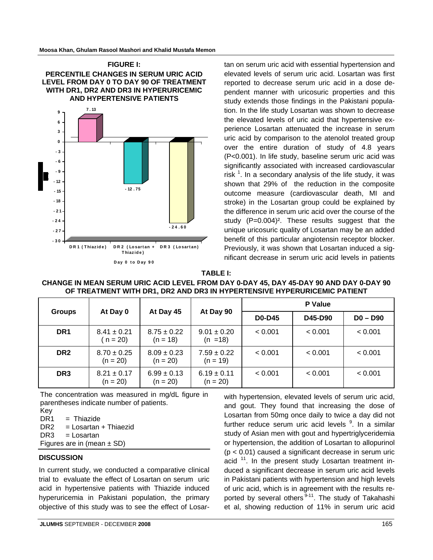

tan on serum uric acid with essential hypertension and elevated levels of serum uric acid. Losartan was first reported to decrease serum uric acid in a dose dependent manner with uricosuric properties and this study extends those findings in the Pakistani population. In the life study Losartan was shown to decrease the elevated levels of uric acid that hypertensive experience Losartan attenuated the increase in serum uric acid by comparison to the atenolol treated group over the entire duration of study of 4.8 years (P<0.001). In life study, baseline serum uric acid was significantly associated with increased cardiovascular risk  $1$ . In a secondary analysis of the life study, it was shown that 29% of the reduction in the composite outcome measure (cardiovascular death, MI and stroke) in the Losartan group could be explained by the difference in serum uric acid over the course of the study (P=0.004)². These results suggest that the unique uricosuric quality of Losartan may be an added benefit of this particular angiotensin receptor blocker. Previously, it was shown that Losartan induced a significant decrease in serum uric acid levels in patients

#### **TABLE I:**

| CHANGE IN MEAN SERUM URIC ACID LEVEL FROM DAY 0-DAY 45, DAY 45-DAY 90 AND DAY 0-DAY 90 |
|----------------------------------------------------------------------------------------|
| OF TREATMENT WITH DR1, DR2 AND DR3 IN HYPERTENSIVE HYPERURICEMIC PATIENT               |

| <b>Groups</b>   | At Day 0                      | At Day 45                     | At Day 90                     | <b>P</b> Value |         |            |
|-----------------|-------------------------------|-------------------------------|-------------------------------|----------------|---------|------------|
|                 |                               |                               |                               | <b>D0-D45</b>  | D45-D90 | $D0 - D90$ |
| DR <sub>1</sub> | $8.41 \pm 0.21$<br>$n = 20$   | $8.75 \pm 0.22$<br>$(n = 18)$ | $9.01 \pm 0.20$<br>$(n = 18)$ | < 0.001        | < 0.001 | < 0.001    |
| DR <sub>2</sub> | $8.70 \pm 0.25$<br>$(n = 20)$ | $8.09 \pm 0.23$<br>$(n = 20)$ | $7.59 \pm 0.22$<br>$(n = 19)$ | < 0.001        | < 0.001 | < 0.001    |
| DR <sub>3</sub> | $8.21 \pm 0.17$<br>$(n = 20)$ | $6.99 \pm 0.13$<br>$(n = 20)$ | $6.19 \pm 0.11$<br>$(n = 20)$ | < 0.001        | < 0.001 | < 0.001    |

The concentration was measured in mg/dL figure in parentheses indicate number of patients. Key

 $DR1 = Thiazide$ 

DR2 = Losartan + Thiaezid

```
DR3 = Losartan
```
Figures are in (mean  $\pm$  SD)

#### **DISCUSSION**

In current study, we conducted a comparative clinical trial to evaluate the effect of Losartan on serum uric acid in hypertensive patients with Thiazide induced hyperuricemia in Pakistani population, the primary objective of this study was to see the effect of Losarand gout. They found that increasing the dose of Losartan from 50mg once daily to twice a day did not further reduce serum uric acid levels <sup>9</sup>. In a similar study of Asian men with gout and hypertriglyceridemia or hypertension, the addition of Losartan to allopurinol (p < 0.01) caused a significant decrease in serum uric acid  $11$ . In the present study Losartan treatment induced a significant decrease in serum uric acid levels in Pakistani patients with hypertension and high levels of uric acid, which is in agreement with the results reported by several others<sup>9-11</sup>. The study of Takahashi et al, showing reduction of 11% in serum uric acid

with hypertension, elevated levels of serum uric acid,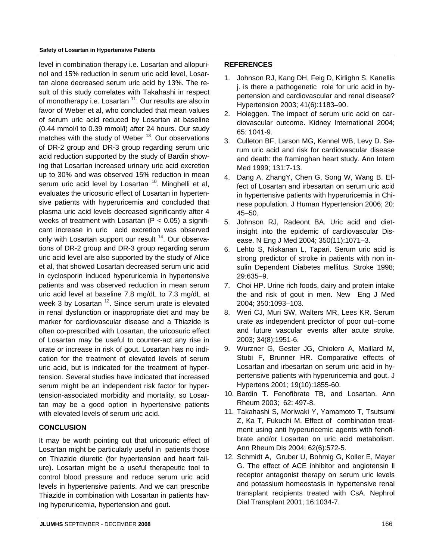#### **Safety of Losartan in Hypertensive Patients**

level in combination therapy i.e. Losartan and allopurinol and 15% reduction in serum uric acid level, Losartan alone decreased serum uric acid by 13%. The result of this study correlates with Takahashi in respect of monotherapy i.e. Losartan <sup>11</sup>. Our results are also in favor of Weber et al, who concluded that mean values of serum uric acid reduced by Losartan at baseline (0.44 mmol/l to 0.39 mmol/l) after 24 hours. Our study matches with the study of Weber  $13$ . Our observations of DR-2 group and DR-3 group regarding serum uric acid reduction supported by the study of Bardin showing that Losartan increased urinary uric acid excretion up to 30% and was observed 15% reduction in mean serum uric acid level by Losartan  $10$ . Minghelli et al, evaluates the uricosuric effect of Losartan in hypertensive patients with hyperuricemia and concluded that plasma uric acid levels decreased significantly after 4 weeks of treatment with Losartan  $(P < 0.05)$  a significant increase in uric acid excretion was observed only with Losartan support our result <sup>14</sup>. Our observations of DR-2 group and DR-3 group regarding serum uric acid level are also supported by the study of Alice et al, that showed Losartan decreased serum uric acid in cyclosporin induced hyperuricemia in hypertensive patients and was observed reduction in mean serum uric acid level at baseline 7.8 mg/dL to 7.3 mg/dL at week 3 by Losartan  $12$ . Since serum urate is elevated in renal dysfunction or inappropriate diet and may be marker for cardiovascular disease and a Thiazide is often co-prescribed with Losartan, the uricosuric effect of Losartan may be useful to counter-act any rise in urate or increase in risk of gout. Losartan has no indication for the treatment of elevated levels of serum uric acid, but is indicated for the treatment of hypertension. Several studies have indicated that increased serum might be an independent risk factor for hypertension-associated morbidity and mortality, so Losartan may be a good option in hypertensive patients with elevated levels of serum uric acid.

## **CONCLUSION**

It may be worth pointing out that uricosuric effect of Losartan might be particularly useful in patients those on Thiazide diuretic (for hypertension and heart failure). Losartan might be a useful therapeutic tool to control blood pressure and reduce serum uric acid levels in hypertensive patients. And we can prescribe Thiazide in combination with Losartan in patients having hyperuricemia, hypertension and gout.

## **REFERENCES**

- 1. Johnson RJ, Kang DH, Feig D, Kirlighn S, Kanellis j. is there a pathogenetic role for uric acid in hypertension and cardiovascular and renal disease? Hypertension 2003; 41(6):1183–90.
- 2. Hoieggen. The impact of serum uric acid on cardiovascular outcome. Kidney International 2004; 65: 1041-9.
- 3. Culleton BF, Larson MG, Kennel WB, Levy D. Serum uric acid and risk for cardiovascular disease and death: the framinghan heart study. Ann Intern Med 1999; 131:7-13.
- 4. Dang A, ZhangY, Chen G, Song W, Wang B. Effect of Losartan and irbesartan on serum uric acid in hypertensive patients with hyperuricemia in Chinese population. J Human Hypertension 2006; 20: 45–50.
- 5. Johnson RJ, Radeont BA. Uric acid and dietinsight into the epidemic of cardiovascular Disease. N Eng J Med 2004; 350(11):1071–3.
- 6. Lehto S, Niskanan L, Tapari. Serum uric acid is strong predictor of stroke in patients with non insulin Dependent Diabetes mellitus. Stroke 1998; 29:635–9.
- 7. Choi HP. Urine rich foods, dairy and protein intake the and risk of gout in men. New Eng J Med 2004; 350:1093–103.
- 8. Weri CJ, Muri SW, Walters MR, Lees KR. Serum urate as independent predictor of poor out–come and future vascular events after acute stroke. 2003; 34(8):1951-6.
- 9. Wurzner G, Gester JG, Chiolero A, Maillard M, Stubi F, Brunner HR. Comparative effects of Losartan and irbesartan on serum uric acid in hypertensive patients with hyperuricemia and gout. J Hypertens 2001; 19(10):1855-60.
- 10. Bardin T. Fenofibrate TB, and Losartan. Ann Rheum 2003; 62: 497-8.
- 11. Takahashi S, Moriwaki Y, Yamamoto T, Tsutsumi Z, Ka T, Fukuchi M. Effect of combination treatment using anti hyperuricemic agents with fenofibrate and/or Losartan on uric acid metabolism. Ann Rheum Dis 2004; 62(6):572-5.
- 12. Schmidt A, Gruber U, Bohmig G, Koller E, Mayer G. The effect of ACE inhibitor and angiotensin ll receptor antagonist therapy on serum uric levels and potassium homeostasis in hypertensive renal transplant recipients treated with CsA. Nephrol Dial Transplant 2001; 16:1034-7.